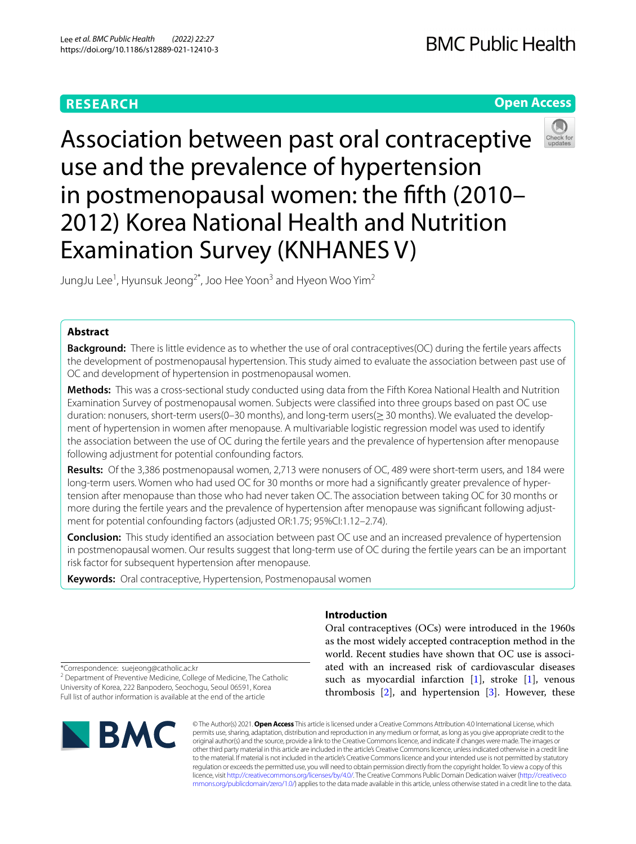# **RESEARCH**

# **Open Access**



Association between past oral contraceptive use and the prevalence of hypertension in postmenopausal women: the ffth (2010– 2012) Korea National Health and Nutrition Examination Survey (KNHANES V)

JungJu Lee<sup>1</sup>, Hyunsuk Jeong<sup>2\*</sup>, Joo Hee Yoon<sup>3</sup> and Hyeon Woo Yim<sup>2</sup>

# **Abstract**

**Background:** There is little evidence as to whether the use of oral contraceptives(OC) during the fertile years affects the development of postmenopausal hypertension. This study aimed to evaluate the association between past use of OC and development of hypertension in postmenopausal women.

**Methods:** This was a cross-sectional study conducted using data from the Fifth Korea National Health and Nutrition Examination Survey of postmenopausal women. Subjects were classifed into three groups based on past OC use duration: nonusers, short-term users(0–30 months), and long-term users(≥30 months). We evaluated the development of hypertension in women after menopause. A multivariable logistic regression model was used to identify the association between the use of OC during the fertile years and the prevalence of hypertension after menopause following adjustment for potential confounding factors.

**Results:** Of the 3,386 postmenopausal women, 2,713 were nonusers of OC, 489 were short-term users, and 184 were long-term users. Women who had used OC for 30 months or more had a signifcantly greater prevalence of hypertension after menopause than those who had never taken OC. The association between taking OC for 30 months or more during the fertile years and the prevalence of hypertension after menopause was signifcant following adjustment for potential confounding factors (adjusted OR:1.75; 95%CI:1.12–2.74).

**Conclusion:** This study identifed an association between past OC use and an increased prevalence of hypertension in postmenopausal women. Our results suggest that long-term use of OC during the fertile years can be an important risk factor for subsequent hypertension after menopause.

**Keywords:** Oral contraceptive, Hypertension, Postmenopausal women

# **Introduction**

Oral contraceptives (OCs) were introduced in the 1960s as the most widely accepted contraception method in the world. Recent studies have shown that OC use is associated with an increased risk of cardiovascular diseases such as myocardial infarction  $[1]$  $[1]$ , stroke  $[1]$ , venous thrombosis  $[2]$  $[2]$ , and hypertension  $[3]$  $[3]$ . However, these

\*Correspondence: suejeong@catholic.ac.kr

<sup>2</sup> Department of Preventive Medicine, College of Medicine, The Catholic University of Korea, 222 Banpodero, Seochogu, Seoul 06591, Korea Full list of author information is available at the end of the article



© The Author(s) 2021. **Open Access** This article is licensed under a Creative Commons Attribution 4.0 International License, which permits use, sharing, adaptation, distribution and reproduction in any medium or format, as long as you give appropriate credit to the original author(s) and the source, provide a link to the Creative Commons licence, and indicate if changes were made. The images or other third party material in this article are included in the article's Creative Commons licence, unless indicated otherwise in a credit line to the material. If material is not included in the article's Creative Commons licence and your intended use is not permitted by statutory regulation or exceeds the permitted use, you will need to obtain permission directly from the copyright holder. To view a copy of this licence, visit [http://creativecommons.org/licenses/by/4.0/.](http://creativecommons.org/licenses/by/4.0/) The Creative Commons Public Domain Dedication waiver ([http://creativeco](http://creativecommons.org/publicdomain/zero/1.0/) [mmons.org/publicdomain/zero/1.0/](http://creativecommons.org/publicdomain/zero/1.0/)) applies to the data made available in this article, unless otherwise stated in a credit line to the data.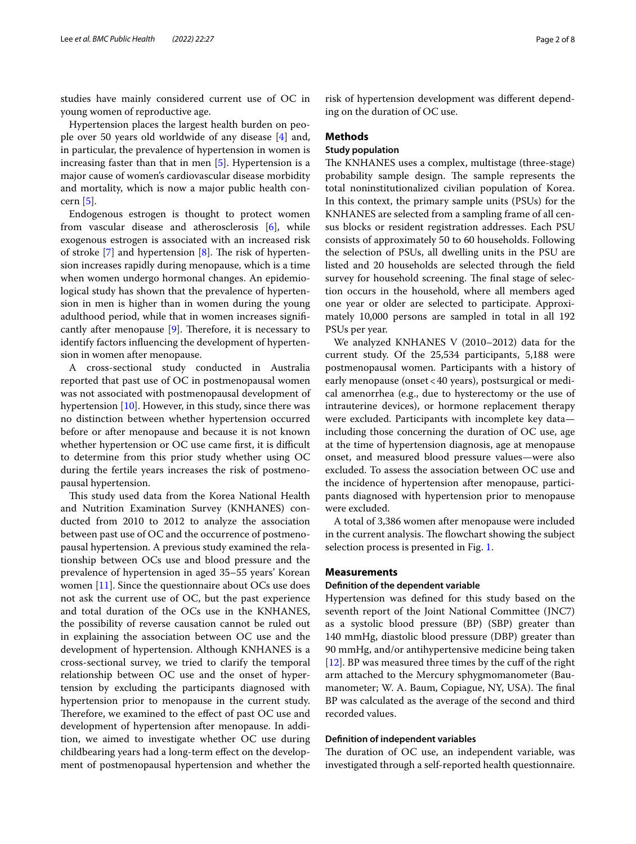studies have mainly considered current use of OC in young women of reproductive age.

Hypertension places the largest health burden on people over 50 years old worldwide of any disease [\[4](#page-7-3)] and, in particular, the prevalence of hypertension in women is increasing faster than that in men [\[5](#page-7-4)]. Hypertension is a major cause of women's cardiovascular disease morbidity and mortality, which is now a major public health concern [\[5](#page-7-4)].

Endogenous estrogen is thought to protect women from vascular disease and atherosclerosis [[6\]](#page-7-5), while exogenous estrogen is associated with an increased risk of stroke  $[7]$  $[7]$  and hypertension  $[8]$  $[8]$ . The risk of hypertension increases rapidly during menopause, which is a time when women undergo hormonal changes. An epidemiological study has shown that the prevalence of hypertension in men is higher than in women during the young adulthood period, while that in women increases signifcantly after menopause  $[9]$  $[9]$  $[9]$ . Therefore, it is necessary to identify factors infuencing the development of hypertension in women after menopause.

A cross-sectional study conducted in Australia reported that past use of OC in postmenopausal women was not associated with postmenopausal development of hypertension [\[10\]](#page-7-9). However, in this study, since there was no distinction between whether hypertension occurred before or after menopause and because it is not known whether hypertension or OC use came first, it is difficult to determine from this prior study whether using OC during the fertile years increases the risk of postmenopausal hypertension.

This study used data from the Korea National Health and Nutrition Examination Survey (KNHANES) conducted from 2010 to 2012 to analyze the association between past use of OC and the occurrence of postmenopausal hypertension. A previous study examined the relationship between OCs use and blood pressure and the prevalence of hypertension in aged 35–55 years' Korean women [[11](#page-7-10)]. Since the questionnaire about OCs use does not ask the current use of OC, but the past experience and total duration of the OCs use in the KNHANES, the possibility of reverse causation cannot be ruled out in explaining the association between OC use and the development of hypertension. Although KNHANES is a cross-sectional survey, we tried to clarify the temporal relationship between OC use and the onset of hypertension by excluding the participants diagnosed with hypertension prior to menopause in the current study. Therefore, we examined to the effect of past OC use and development of hypertension after menopause. In addition, we aimed to investigate whether OC use during childbearing years had a long-term efect on the development of postmenopausal hypertension and whether the risk of hypertension development was diferent depending on the duration of OC use.

### **Methods**

# **Study population**

The KNHANES uses a complex, multistage (three-stage) probability sample design. The sample represents the total noninstitutionalized civilian population of Korea. In this context, the primary sample units (PSUs) for the KNHANES are selected from a sampling frame of all census blocks or resident registration addresses. Each PSU consists of approximately 50 to 60 households. Following the selection of PSUs, all dwelling units in the PSU are listed and 20 households are selected through the feld survey for household screening. The final stage of selection occurs in the household, where all members aged one year or older are selected to participate. Approximately 10,000 persons are sampled in total in all 192 PSUs per year.

We analyzed KNHANES V (2010–2012) data for the current study. Of the 25,534 participants, 5,188 were postmenopausal women. Participants with a history of early menopause (onset<40 years), postsurgical or medical amenorrhea (e.g., due to hysterectomy or the use of intrauterine devices), or hormone replacement therapy were excluded. Participants with incomplete key data including those concerning the duration of OC use, age at the time of hypertension diagnosis, age at menopause onset, and measured blood pressure values—were also excluded. To assess the association between OC use and the incidence of hypertension after menopause, participants diagnosed with hypertension prior to menopause were excluded.

A total of 3,386 women after menopause were included in the current analysis. The flowchart showing the subject selection process is presented in Fig. [1](#page-2-0).

#### **Measurements**

### **Defnition of the dependent variable**

Hypertension was defned for this study based on the seventh report of the Joint National Committee (JNC7) as a systolic blood pressure (BP) (SBP) greater than 140 mmHg, diastolic blood pressure (DBP) greater than 90 mmHg, and/or antihypertensive medicine being taken [[12\]](#page-7-11). BP was measured three times by the cuff of the right arm attached to the Mercury sphygmomanometer (Baumanometer; W. A. Baum, Copiague, NY, USA). The final BP was calculated as the average of the second and third recorded values.

# **Defnition of independent variables**

The duration of OC use, an independent variable, was investigated through a self-reported health questionnaire.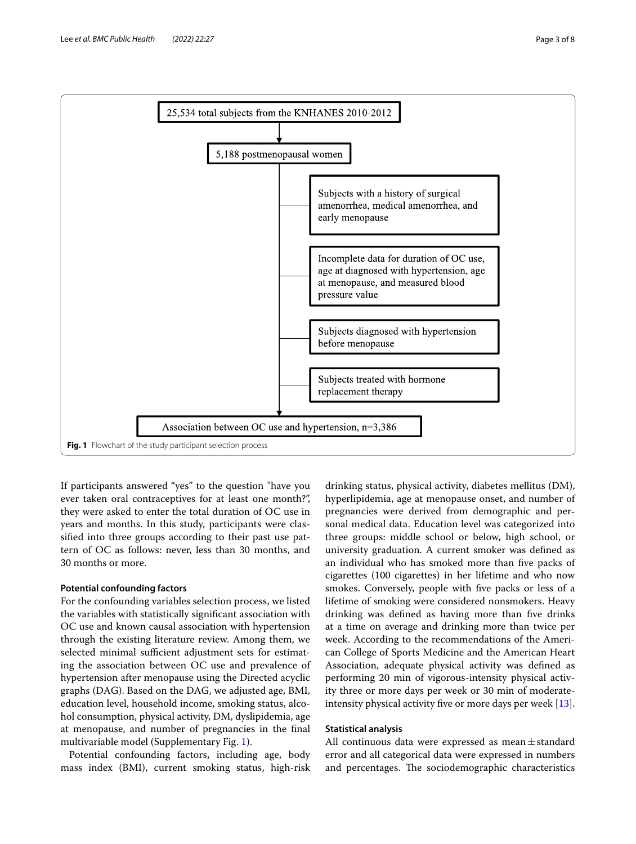

<span id="page-2-0"></span>If participants answered "yes" to the question "have you ever taken oral contraceptives for at least one month?", they were asked to enter the total duration of OC use in years and months. In this study, participants were classifed into three groups according to their past use pattern of OC as follows: never, less than 30 months, and 30 months or more.

# **Potential confounding factors**

For the confounding variables selection process, we listed the variables with statistically signifcant association with OC use and known causal association with hypertension through the existing literature review. Among them, we selected minimal sufficient adjustment sets for estimating the association between OC use and prevalence of hypertension after menopause using the Directed acyclic graphs (DAG). Based on the DAG, we adjusted age, BMI, education level, household income, smoking status, alcohol consumption, physical activity, DM, dyslipidemia, age at menopause, and number of pregnancies in the fnal multivariable model (Supplementary Fig. [1\)](#page-6-0).

Potential confounding factors, including age, body mass index (BMI), current smoking status, high-risk

drinking status, physical activity, diabetes mellitus (DM), hyperlipidemia, age at menopause onset, and number of pregnancies were derived from demographic and personal medical data. Education level was categorized into three groups: middle school or below, high school, or university graduation. A current smoker was defned as an individual who has smoked more than fve packs of cigarettes (100 cigarettes) in her lifetime and who now smokes. Conversely, people with fve packs or less of a lifetime of smoking were considered nonsmokers. Heavy drinking was defined as having more than five drinks at a time on average and drinking more than twice per week. According to the recommendations of the American College of Sports Medicine and the American Heart Association, adequate physical activity was defned as performing 20 min of vigorous-intensity physical activity three or more days per week or 30 min of moderateintensity physical activity fve or more days per week [\[13](#page-7-12)].

## **Statistical analysis**

All continuous data were expressed as mean $\pm$ standard error and all categorical data were expressed in numbers and percentages. The sociodemographic characteristics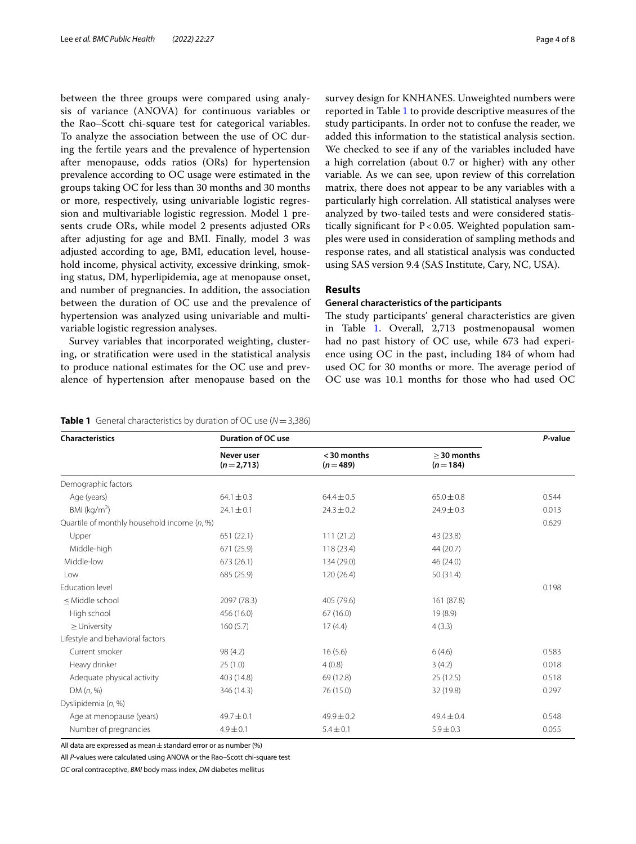between the three groups were compared using analysis of variance (ANOVA) for continuous variables or the Rao–Scott chi-square test for categorical variables. To analyze the association between the use of OC during the fertile years and the prevalence of hypertension after menopause, odds ratios (ORs) for hypertension prevalence according to OC usage were estimated in the groups taking OC for less than 30 months and 30 months or more, respectively, using univariable logistic regression and multivariable logistic regression. Model 1 presents crude ORs, while model 2 presents adjusted ORs after adjusting for age and BMI. Finally, model 3 was adjusted according to age, BMI, education level, household income, physical activity, excessive drinking, smoking status, DM, hyperlipidemia, age at menopause onset, and number of pregnancies. In addition, the association between the duration of OC use and the prevalence of hypertension was analyzed using univariable and multivariable logistic regression analyses.

Survey variables that incorporated weighting, clustering, or stratifcation were used in the statistical analysis to produce national estimates for the OC use and prevalence of hypertension after menopause based on the survey design for KNHANES. Unweighted numbers were reported in Table [1](#page-3-0) to provide descriptive measures of the study participants. In order not to confuse the reader, we added this information to the statistical analysis section. We checked to see if any of the variables included have a high correlation (about 0.7 or higher) with any other variable. As we can see, upon review of this correlation matrix, there does not appear to be any variables with a particularly high correlation. All statistical analyses were analyzed by two-tailed tests and were considered statistically signifcant for P<0.05. Weighted population samples were used in consideration of sampling methods and response rates, and all statistical analysis was conducted using SAS version 9.4 (SAS Institute, Cary, NC, USA).

# **Results**

# **General characteristics of the participants**

The study participants' general characteristics are given in Table [1.](#page-3-0) Overall, 2,713 postmenopausal women had no past history of OC use, while 673 had experience using OC in the past, including 184 of whom had used OC for 30 months or more. The average period of OC use was 10.1 months for those who had used OC

# <span id="page-3-0"></span>**Table 1** General characteristics by duration of OC use (*N*=3,386)

| <b>Characteristics</b>                                                                                | <b>Duration of OC use</b> |                         |                            | P-value |
|-------------------------------------------------------------------------------------------------------|---------------------------|-------------------------|----------------------------|---------|
|                                                                                                       | Never user<br>$(n=2,713)$ | <30 months<br>$(n=489)$ | $>$ 30 months<br>$(n=184)$ |         |
| Demographic factors                                                                                   |                           |                         |                            |         |
| Age (years)                                                                                           | $64.1 \pm 0.3$            | $64.4 \pm 0.5$          | $65.0 \pm 0.8$             | 0.544   |
| BMI $(kq/m2)$                                                                                         | $24.1 \pm 0.1$            | $24.3 \pm 0.2$          | $24.9 \pm 0.3$             | 0.013   |
| Quartile of monthly household income (n, %)                                                           |                           |                         |                            |         |
| Upper                                                                                                 | 651(22.1)                 | 111(21.2)               | 43 (23.8)                  |         |
| Middle-high                                                                                           | 671 (25.9)                | 118(23.4)               | 44 (20.7)                  |         |
| Middle-low                                                                                            | 673 (26.1)                | 134 (29.0)              | 46 (24.0)                  |         |
| Low                                                                                                   | 685 (25.9)                | 120 (26.4)              | 50 (31.4)                  |         |
| Education level                                                                                       |                           |                         |                            | 0.198   |
| <middle school<="" td=""><td>2097 (78.3)</td><td>405 (79.6)</td><td>161 (87.8)</td><td></td></middle> | 2097 (78.3)               | 405 (79.6)              | 161 (87.8)                 |         |
| High school                                                                                           | 456 (16.0)                | 67(16.0)                | 19 (8.9)                   |         |
| $\geq$ University                                                                                     | 160(5.7)                  | 17(4.4)                 | 4(3.3)                     |         |
| Lifestyle and behavioral factors                                                                      |                           |                         |                            |         |
| Current smoker                                                                                        | 98 (4.2)                  | 16(5.6)                 | 6(4.6)                     | 0.583   |
| Heavy drinker                                                                                         | 25(1.0)                   | 4(0.8)                  | 3(4.2)                     | 0.018   |
| Adequate physical activity                                                                            | 403 (14.8)                | 69 (12.8)               | 25(12.5)                   | 0.518   |
| DM(n, %)                                                                                              | 346 (14.3)                | 76 (15.0)               | 32 (19.8)                  | 0.297   |
| Dyslipidemia (n, %)                                                                                   |                           |                         |                            |         |
| Age at menopause (years)                                                                              | $49.7 \pm 0.1$            | $49.9 \pm 0.2$          | $49.4 \pm 0.4$             | 0.548   |
| Number of pregnancies                                                                                 | $4.9 \pm 0.1$             | $5.4 \pm 0.1$           | $5.9 \pm 0.3$              | 0.055   |

All data are expressed as mean  $\pm$  standard error or as number (%)

All *P*-values were calculated using ANOVA or the Rao–Scott chi-square test

*OC* oral contraceptive, *BMI* body mass index, *DM* diabetes mellitus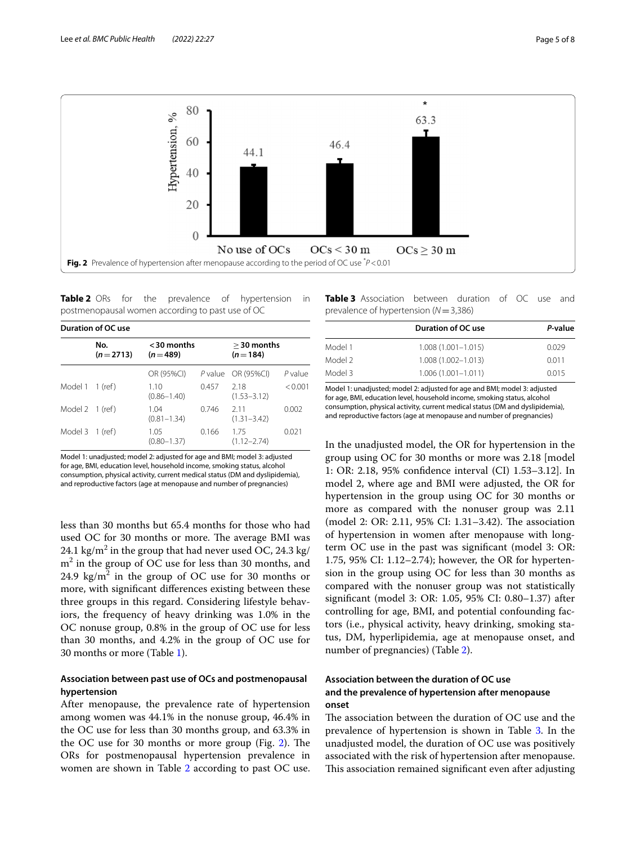

<span id="page-4-1"></span><span id="page-4-0"></span>**Table 2** ORs for the prevalence of hypertension in postmenopausal women according to past use of OC

| Duration of OC use |                   |                            |       |                            |         |  |  |  |
|--------------------|-------------------|----------------------------|-------|----------------------------|---------|--|--|--|
|                    | No.<br>$(n=2713)$ | $<$ 30 months<br>$(n=489)$ |       | $>$ 30 months<br>$(n=184)$ |         |  |  |  |
|                    |                   | OR (95%CI)                 |       | P value OR (95%CI)         | P value |  |  |  |
| Model 1 1 (ref)    |                   | 1.10<br>$(0.86 - 1.40)$    | 0.457 | 218<br>$(1.53 - 3.12)$     | < 0.001 |  |  |  |
| Model 2 1 (ref)    |                   | 1.04<br>$(0.81 - 1.34)$    | 0.746 | 211<br>$(1.31 - 3.42)$     | 0.002   |  |  |  |
| Model 3 1 (ref)    |                   | 1.05<br>$(0.80 - 1.37)$    | 0.166 | 175<br>$(1.12 - 2.74)$     | 0.021   |  |  |  |
|                    |                   |                            |       |                            |         |  |  |  |

Model 1: unadjusted; model 2: adjusted for age and BMI; model 3: adjusted for age, BMI, education level, household income, smoking status, alcohol consumption, physical activity, current medical status (DM and dyslipidemia), and reproductive factors (age at menopause and number of pregnancies)

less than 30 months but 65.4 months for those who had used OC for 30 months or more. The average BMI was 24.1 kg/m $^2$  in the group that had never used OC, 24.3 kg/ m2 in the group of OC use for less than 30 months, and 24.9  $\text{kg/m}^2$  in the group of OC use for 30 months or more, with signifcant diferences existing between these three groups in this regard. Considering lifestyle behaviors, the frequency of heavy drinking was 1.0% in the OC nonuse group, 0.8% in the group of OC use for less than 30 months, and 4.2% in the group of OC use for 30 months or more (Table [1](#page-3-0)).

# **Association between past use of OCs and postmenopausal hypertension**

After menopause, the prevalence rate of hypertension among women was 44.1% in the nonuse group, 46.4% in the OC use for less than 30 months group, and 63.3% in the OC use for 30 months or more group (Fig.  $2$ ). The ORs for postmenopausal hypertension prevalence in women are shown in Table [2](#page-4-1) according to past OC use. <span id="page-4-2"></span>**Table 3** Association between duration of OC use and prevalence of hypertension (*N*=3,386)

|         | Duration of OC use     | P-value<br>0.029 |  |
|---------|------------------------|------------------|--|
| Model 1 | $1.008(1.001 - 1.015)$ |                  |  |
| Model 2 | $1.008(1.002 - 1.013)$ | 0.011            |  |
| Model 3 | $1.006(1.001 - 1.011)$ | 0.015            |  |

Model 1: unadjusted; model 2: adjusted for age and BMI; model 3: adjusted for age, BMI, education level, household income, smoking status, alcohol consumption, physical activity, current medical status (DM and dyslipidemia), and reproductive factors (age at menopause and number of pregnancies)

In the unadjusted model, the OR for hypertension in the group using OC for 30 months or more was 2.18 [model 1: OR: 2.18, 95% confdence interval (CI) 1.53–3.12]. In model 2, where age and BMI were adjusted, the OR for hypertension in the group using OC for 30 months or more as compared with the nonuser group was 2.11 (model 2: OR: 2.11, 95% CI: 1.31-3.42). The association of hypertension in women after menopause with longterm OC use in the past was signifcant (model 3: OR: 1.75, 95% CI: 1.12–2.74); however, the OR for hypertension in the group using OC for less than 30 months as compared with the nonuser group was not statistically signifcant (model 3: OR: 1.05, 95% CI: 0.80–1.37) after controlling for age, BMI, and potential confounding factors (i.e., physical activity, heavy drinking, smoking status, DM, hyperlipidemia, age at menopause onset, and number of pregnancies) (Table [2](#page-4-1)).

# **Association between the duration of OC use and the prevalence of hypertension after menopause onset**

The association between the duration of  $OC$  use and the prevalence of hypertension is shown in Table [3.](#page-4-2) In the unadjusted model, the duration of OC use was positively associated with the risk of hypertension after menopause. This association remained significant even after adjusting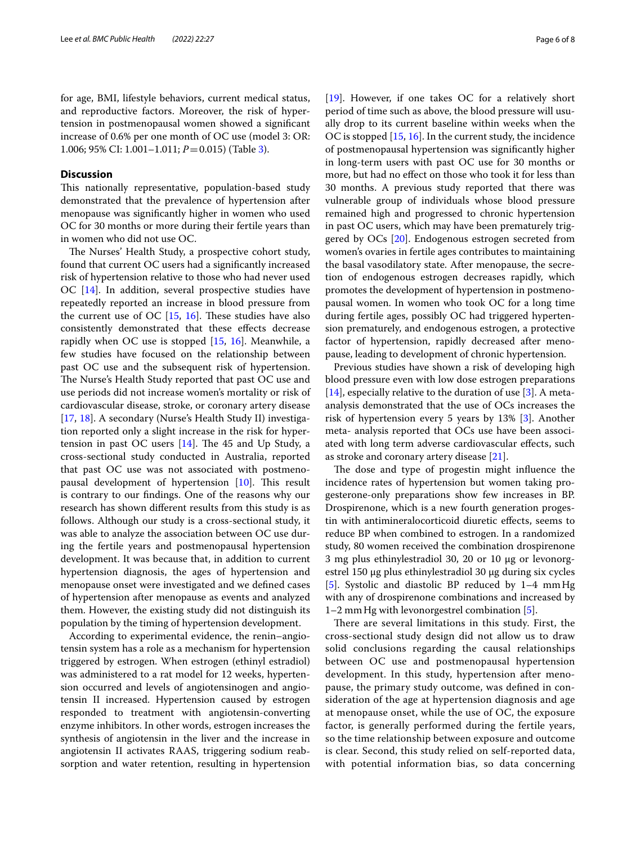for age, BMI, lifestyle behaviors, current medical status, and reproductive factors. Moreover, the risk of hypertension in postmenopausal women showed a signifcant increase of 0.6% per one month of OC use (model 3: OR: 1.006; 95% CI: 1.001–1.011; *P*=0.015) (Table [3\)](#page-4-2).

# **Discussion**

This nationally representative, population-based study demonstrated that the prevalence of hypertension after menopause was signifcantly higher in women who used OC for 30 months or more during their fertile years than in women who did not use OC.

The Nurses' Health Study, a prospective cohort study, found that current OC users had a signifcantly increased risk of hypertension relative to those who had never used OC [\[14](#page-7-13)]. In addition, several prospective studies have repeatedly reported an increase in blood pressure from the current use of OC  $[15, 16]$  $[15, 16]$  $[15, 16]$  $[15, 16]$  $[15, 16]$ . These studies have also consistently demonstrated that these efects decrease rapidly when OC use is stopped  $[15, 16]$  $[15, 16]$  $[15, 16]$ . Meanwhile, a few studies have focused on the relationship between past OC use and the subsequent risk of hypertension. The Nurse's Health Study reported that past OC use and use periods did not increase women's mortality or risk of cardiovascular disease, stroke, or coronary artery disease [[17,](#page-7-16) [18](#page-7-17)]. A secondary (Nurse's Health Study II) investigation reported only a slight increase in the risk for hypertension in past OC users  $[14]$ . The 45 and Up Study, a cross-sectional study conducted in Australia, reported that past OC use was not associated with postmenopausal development of hypertension  $[10]$  $[10]$ . This result is contrary to our fndings. One of the reasons why our research has shown diferent results from this study is as follows. Although our study is a cross-sectional study, it was able to analyze the association between OC use during the fertile years and postmenopausal hypertension development. It was because that, in addition to current hypertension diagnosis, the ages of hypertension and menopause onset were investigated and we defned cases of hypertension after menopause as events and analyzed them. However, the existing study did not distinguish its population by the timing of hypertension development.

According to experimental evidence, the renin–angiotensin system has a role as a mechanism for hypertension triggered by estrogen. When estrogen (ethinyl estradiol) was administered to a rat model for 12 weeks, hypertension occurred and levels of angiotensinogen and angiotensin II increased. Hypertension caused by estrogen responded to treatment with angiotensin-converting enzyme inhibitors. In other words, estrogen increases the synthesis of angiotensin in the liver and the increase in angiotensin II activates RAAS, triggering sodium reabsorption and water retention, resulting in hypertension [[19\]](#page-7-18). However, if one takes OC for a relatively short period of time such as above, the blood pressure will usually drop to its current baseline within weeks when the OC is stopped [\[15,](#page-7-14) [16](#page-7-15)]. In the current study, the incidence of postmenopausal hypertension was signifcantly higher in long-term users with past OC use for 30 months or more, but had no efect on those who took it for less than 30 months. A previous study reported that there was vulnerable group of individuals whose blood pressure remained high and progressed to chronic hypertension in past OC users, which may have been prematurely triggered by OCs [\[20](#page-7-19)]. Endogenous estrogen secreted from women's ovaries in fertile ages contributes to maintaining the basal vasodilatory state. After menopause, the secretion of endogenous estrogen decreases rapidly, which promotes the development of hypertension in postmenopausal women. In women who took OC for a long time during fertile ages, possibly OC had triggered hypertension prematurely, and endogenous estrogen, a protective factor of hypertension, rapidly decreased after menopause, leading to development of chronic hypertension.

Previous studies have shown a risk of developing high blood pressure even with low dose estrogen preparations  $[14]$  $[14]$ , especially relative to the duration of use  $[3]$  $[3]$  $[3]$ . A metaanalysis demonstrated that the use of OCs increases the risk of hypertension every 5 years by 13% [\[3\]](#page-7-2). Another meta- analysis reported that OCs use have been associated with long term adverse cardiovascular efects, such as stroke and coronary artery disease [\[21\]](#page-7-20).

The dose and type of progestin might influence the incidence rates of hypertension but women taking progesterone-only preparations show few increases in BP. Drospirenone, which is a new fourth generation progestin with antimineralocorticoid diuretic efects, seems to reduce BP when combined to estrogen. In a randomized study, 80 women received the combination drospirenone 3 mg plus ethinylestradiol 30, 20 or 10 μg or levonorgestrel 150 μg plus ethinylestradiol 30 μg during six cycles [[5\]](#page-7-4). Systolic and diastolic BP reduced by 1–4 mmHg with any of drospirenone combinations and increased by 1–2 mmHg with levonorgestrel combination [\[5](#page-7-4)].

There are several limitations in this study. First, the cross-sectional study design did not allow us to draw solid conclusions regarding the causal relationships between OC use and postmenopausal hypertension development. In this study, hypertension after menopause, the primary study outcome, was defned in consideration of the age at hypertension diagnosis and age at menopause onset, while the use of OC, the exposure factor, is generally performed during the fertile years, so the time relationship between exposure and outcome is clear. Second, this study relied on self-reported data, with potential information bias, so data concerning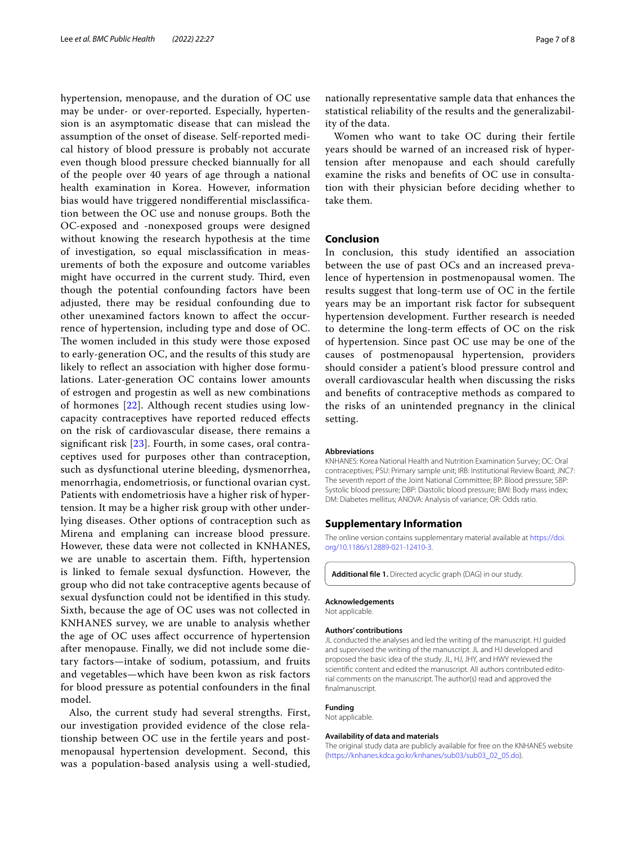hypertension, menopause, and the duration of OC use may be under- or over-reported. Especially, hypertension is an asymptomatic disease that can mislead the assumption of the onset of disease. Self-reported medical history of blood pressure is probably not accurate even though blood pressure checked biannually for all of the people over 40 years of age through a national health examination in Korea. However, information bias would have triggered nondiferential misclassifcation between the OC use and nonuse groups. Both the OC-exposed and -nonexposed groups were designed without knowing the research hypothesis at the time of investigation, so equal misclassifcation in measurements of both the exposure and outcome variables might have occurred in the current study. Third, even though the potential confounding factors have been adjusted, there may be residual confounding due to other unexamined factors known to afect the occurrence of hypertension, including type and dose of OC. The women included in this study were those exposed to early-generation OC, and the results of this study are likely to reflect an association with higher dose formulations. Later-generation OC contains lower amounts of estrogen and progestin as well as new combinations of hormones [[22\]](#page-7-21). Although recent studies using lowcapacity contraceptives have reported reduced efects on the risk of cardiovascular disease, there remains a signifcant risk [[23](#page-7-22)]. Fourth, in some cases, oral contraceptives used for purposes other than contraception, such as dysfunctional uterine bleeding, dysmenorrhea, menorrhagia, endometriosis, or functional ovarian cyst. Patients with endometriosis have a higher risk of hypertension. It may be a higher risk group with other underlying diseases. Other options of contraception such as Mirena and emplaning can increase blood pressure. However, these data were not collected in KNHANES, we are unable to ascertain them. Fifth, hypertension is linked to female sexual dysfunction. However, the group who did not take contraceptive agents because of sexual dysfunction could not be identifed in this study. Sixth, because the age of OC uses was not collected in KNHANES survey, we are unable to analysis whether the age of OC uses afect occurrence of hypertension after menopause. Finally, we did not include some dietary factors—intake of sodium, potassium, and fruits and vegetables—which have been kwon as risk factors for blood pressure as potential confounders in the fnal model.

Also, the current study had several strengths. First, our investigation provided evidence of the close relationship between OC use in the fertile years and postmenopausal hypertension development. Second, this was a population-based analysis using a well-studied, nationally representative sample data that enhances the statistical reliability of the results and the generalizability of the data.

Women who want to take OC during their fertile years should be warned of an increased risk of hypertension after menopause and each should carefully examine the risks and benefts of OC use in consultation with their physician before deciding whether to take them.

### **Conclusion**

In conclusion, this study identifed an association between the use of past OCs and an increased prevalence of hypertension in postmenopausal women. The results suggest that long-term use of OC in the fertile years may be an important risk factor for subsequent hypertension development. Further research is needed to determine the long-term efects of OC on the risk of hypertension. Since past OC use may be one of the causes of postmenopausal hypertension, providers should consider a patient's blood pressure control and overall cardiovascular health when discussing the risks and benefts of contraceptive methods as compared to the risks of an unintended pregnancy in the clinical setting.

#### **Abbreviations**

KNHANES: Korea National Health and Nutrition Examination Survey; OC: Oral contraceptives; PSU: Primary sample unit; IRB: Institutional Review Board; JNC7: The seventh report of the Joint National Committee; BP: Blood pressure; SBP: Systolic blood pressure; DBP: Diastolic blood pressure; BMI: Body mass index; DM: Diabetes mellitus; ANOVA: Analysis of variance; OR: Odds ratio.

### **Supplementary Information**

The online version contains supplementary material available at [https://doi.](https://doi.org/10.1186/s12889-021-12410-3) [org/10.1186/s12889-021-12410-3](https://doi.org/10.1186/s12889-021-12410-3).

<span id="page-6-0"></span>**Additional fle 1.** Directed acyclic graph (DAG) in our study.

# **Acknowledgements**

Not applicable.

#### **Authors' contributions**

JL conducted the analyses and led the writing of the manuscript. HJ guided and supervised the writing of the manuscript. JL and HJ developed and proposed the basic idea of the study. JL, HJ, JHY, and HWY reviewed the scientifc content and edited the manuscript. All authors contributed editorial comments on the manuscript. The author(s) read and approved the fnalmanuscript.

#### **Funding**

Not applicable.

#### **Availability of data and materials**

The original study data are publicly available for free on the KNHANES website ([https://knhanes.kdca.go.kr/knhanes/sub03/sub03\\_02\\_05.do\)](https://knhanes.kdca.go.kr/knhanes/sub03/sub03_02_05.do).